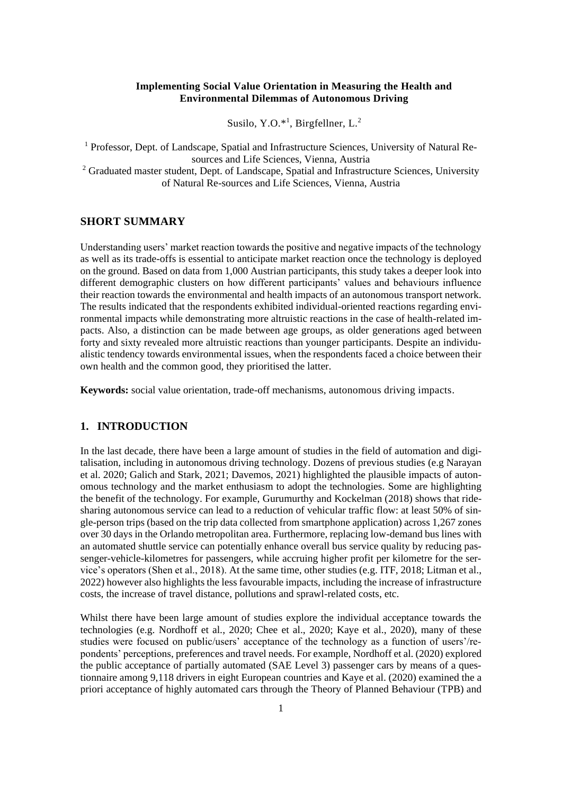### **Implementing Social Value Orientation in Measuring the Health and Environmental Dilemmas of Autonomous Driving**

Susilo, Y.O. $*$ <sup>1</sup>, Birgfellner, L.<sup>2</sup>

<sup>1</sup> Professor, Dept. of Landscape, Spatial and Infrastructure Sciences, University of Natural Resources and Life Sciences, Vienna, Austria  $2$  Graduated master student, Dept. of Landscape, Spatial and Infrastructure Sciences, University of Natural Re-sources and Life Sciences, Vienna, Austria

### **SHORT SUMMARY**

Understanding users' market reaction towards the positive and negative impacts of the technology as well as its trade-offs is essential to anticipate market reaction once the technology is deployed on the ground. Based on data from 1,000 Austrian participants, this study takes a deeper look into different demographic clusters on how different participants' values and behaviours influence their reaction towards the environmental and health impacts of an autonomous transport network. The results indicated that the respondents exhibited individual-oriented reactions regarding environmental impacts while demonstrating more altruistic reactions in the case of health-related impacts. Also, a distinction can be made between age groups, as older generations aged between forty and sixty revealed more altruistic reactions than younger participants. Despite an individualistic tendency towards environmental issues, when the respondents faced a choice between their own health and the common good, they prioritised the latter.

**Keywords:** social value orientation, trade-off mechanisms, autonomous driving impacts.

## **1. INTRODUCTION**

In the last decade, there have been a large amount of studies in the field of automation and digitalisation, including in autonomous driving technology. Dozens of previous studies (e.g Narayan et al. 2020; Galich and Stark, 2021; Davemos, 2021) highlighted the plausible impacts of autonomous technology and the market enthusiasm to adopt the technologies. Some are highlighting the benefit of the technology. For example, Gurumurthy and Kockelman (2018) shows that ridesharing autonomous service can lead to a reduction of vehicular traffic flow: at least 50% of single-person trips (based on the trip data collected from smartphone application) across 1,267 zones over 30 days in the Orlando metropolitan area. Furthermore, replacing low-demand bus lines with an automated shuttle service can potentially enhance overall bus service quality by reducing passenger-vehicle-kilometres for passengers, while accruing higher profit per kilometre for the service's operators (Shen et al., 2018). At the same time, other studies (e.g. ITF, 2018; Litman et al., 2022) however also highlights the less favourable impacts, including the increase of infrastructure costs, the increase of travel distance, pollutions and sprawl-related costs, etc.

Whilst there have been large amount of studies explore the individual acceptance towards the technologies (e.g. Nordhoff et al., 2020; Chee et al., 2020; Kaye et al., 2020), many of these studies were focused on public/users' acceptance of the technology as a function of users'/repondents' perceptions, preferences and travel needs. For example, Nordhoff et al. (2020) explored the public acceptance of partially automated (SAE Level 3) passenger cars by means of a questionnaire among 9,118 drivers in eight European countries and Kaye et al. (2020) examined the a priori acceptance of highly automated cars through the Theory of Planned Behaviour (TPB) and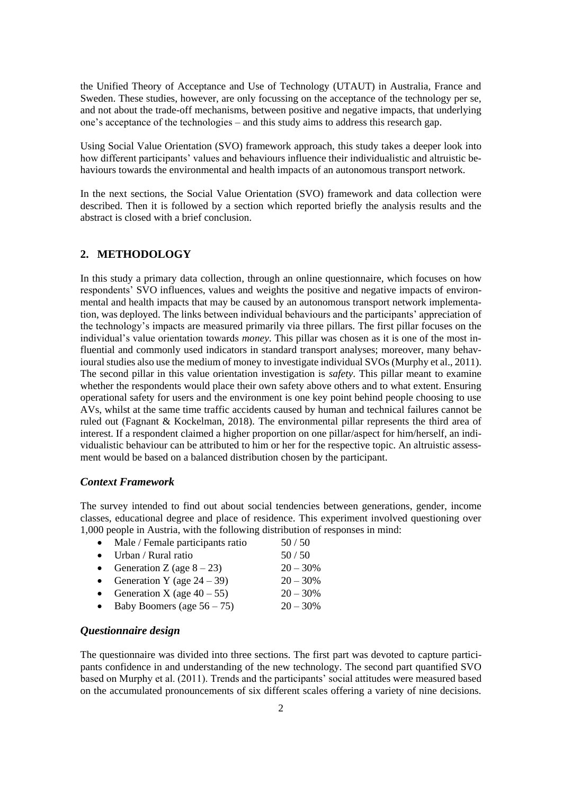the Unified Theory of Acceptance and Use of Technology (UTAUT) in Australia, France and Sweden. These studies, however, are only focussing on the acceptance of the technology per se, and not about the trade-off mechanisms, between positive and negative impacts, that underlying one's acceptance of the technologies – and this study aims to address this research gap.

Using Social Value Orientation (SVO) framework approach, this study takes a deeper look into how different participants' values and behaviours influence their individualistic and altruistic behaviours towards the environmental and health impacts of an autonomous transport network.

In the next sections, the Social Value Orientation (SVO) framework and data collection were described. Then it is followed by a section which reported briefly the analysis results and the abstract is closed with a brief conclusion.

### **2. METHODOLOGY**

In this study a primary data collection, through an online questionnaire, which focuses on how respondents' SVO influences, values and weights the positive and negative impacts of environmental and health impacts that may be caused by an autonomous transport network implementation, was deployed. The links between individual behaviours and the participants' appreciation of the technology's impacts are measured primarily via three pillars. The first pillar focuses on the individual's value orientation towards *money*. This pillar was chosen as it is one of the most influential and commonly used indicators in standard transport analyses; moreover, many behavioural studies also use the medium of money to investigate individual SVOs (Murphy et al., 2011). The second pillar in this value orientation investigation is *safety*. This pillar meant to examine whether the respondents would place their own safety above others and to what extent. Ensuring operational safety for users and the environment is one key point behind people choosing to use AVs, whilst at the same time traffic accidents caused by human and technical failures cannot be ruled out (Fagnant & Kockelman, 2018). The environmental pillar represents the third area of interest. If a respondent claimed a higher proportion on one pillar/aspect for him/herself, an individualistic behaviour can be attributed to him or her for the respective topic. An altruistic assessment would be based on a balanced distribution chosen by the participant.

#### *Context Framework*

The survey intended to find out about social tendencies between generations, gender, income classes, educational degree and place of residence. This experiment involved questioning over 1,000 people in Austria, with the following distribution of responses in mind:

| • Male / Female participants ratio | 50/50      |
|------------------------------------|------------|
| $\bullet$ Urban / Rural ratio      | $50/50$    |
| • Generation Z (age $8-23$ )       | $20 - 30%$ |
| • Generation Y (age $24 - 39$ )    | $20 - 30%$ |
| • Generation X (age $40-55$ )      | $20 - 30%$ |
| • Baby Boomers (age $56 - 75$ )    | $20 - 30%$ |

## *Questionnaire design*

The questionnaire was divided into three sections. The first part was devoted to capture participants confidence in and understanding of the new technology. The second part quantified SVO based on Murphy et al. (2011). Trends and the participants' social attitudes were measured based on the accumulated pronouncements of six different scales offering a variety of nine decisions.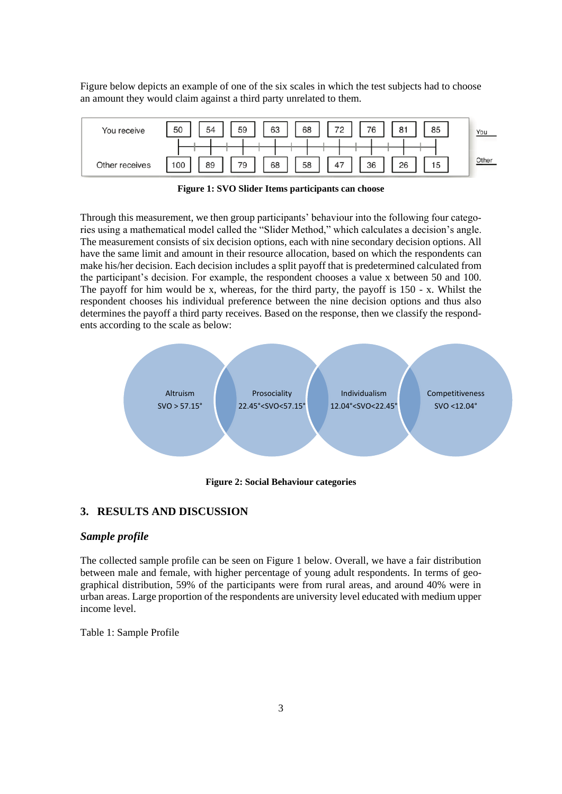Figure below depicts an example of one of the six scales in which the test subjects had to choose an amount they would claim against a third party unrelated to them.

| You receive    | 50  | 54 | 59 | 63 | 68 | 72 | 76 | $\Omega$ -1<br>o | 85 | You   |
|----------------|-----|----|----|----|----|----|----|------------------|----|-------|
|                |     |    |    |    |    |    |    |                  |    |       |
| Other receives | 100 | 89 | 79 | 68 | 58 | 47 | 36 | 26               | 15 | Other |

**Figure 1: SVO Slider Items participants can choose**

Through this measurement, we then group participants' behaviour into the following four categories using a mathematical model called the "Slider Method," which calculates a decision's angle. The measurement consists of six decision options, each with nine secondary decision options. All have the same limit and amount in their resource allocation, based on which the respondents can make his/her decision. Each decision includes a split payoff that is predetermined calculated from the participant's decision. For example, the respondent chooses a value x between 50 and 100. The payoff for him would be x, whereas, for the third party, the payoff is 150 - x. Whilst the respondent chooses his individual preference between the nine decision options and thus also determines the payoff a third party receives. Based on the response, then we classify the respondents according to the scale as below:



**Figure 2: Social Behaviour categories**

# **3. RESULTS AND DISCUSSION**

# *Sample profile*

The collected sample profile can be seen on Figure 1 below. Overall, we have a fair distribution between male and female, with higher percentage of young adult respondents. In terms of geographical distribution, 59% of the participants were from rural areas, and around 40% were in urban areas. Large proportion of the respondents are university level educated with medium upper income level.

Table 1: Sample Profile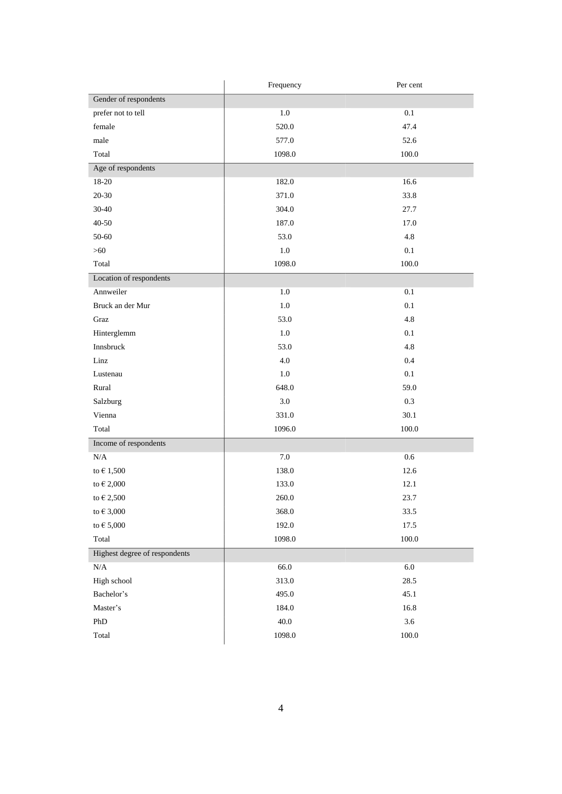|                               | Frequency | Per cent  |  |  |
|-------------------------------|-----------|-----------|--|--|
| Gender of respondents         |           |           |  |  |
| prefer not to tell            | 1.0       | 0.1       |  |  |
| female                        | 520.0     | 47.4      |  |  |
| male                          | 577.0     | 52.6      |  |  |
| Total                         | 1098.0    | 100.0     |  |  |
| Age of respondents            |           |           |  |  |
| 18-20                         | 182.0     | 16.6      |  |  |
| $20 - 30$                     | 371.0     | 33.8      |  |  |
| 30-40                         | 304.0     | 27.7      |  |  |
| 40-50                         | 187.0     | 17.0      |  |  |
| 50-60                         | 53.0      | 4.8       |  |  |
| $>60$                         | $1.0\,$   | 0.1       |  |  |
| Total                         | 1098.0    | 100.0     |  |  |
| Location of respondents       |           |           |  |  |
| Annweiler                     | 1.0       | 0.1       |  |  |
| Bruck an der Mur              | 1.0       | 0.1       |  |  |
| Graz                          | 53.0      | 4.8       |  |  |
| Hinterglemm                   | $1.0\,$   | 0.1       |  |  |
| Innsbruck                     | 53.0      | 4.8       |  |  |
| Linz                          | $4.0\,$   | 0.4       |  |  |
| Lustenau                      | $1.0\,$   | 0.1       |  |  |
| Rural                         | 648.0     | 59.0      |  |  |
| Salzburg                      | 3.0       | 0.3       |  |  |
| Vienna                        | 331.0     | 30.1      |  |  |
| Total                         | 1096.0    | $100.0\,$ |  |  |
| Income of respondents         |           |           |  |  |
| $\rm N/A$                     | 7.0       | 0.6       |  |  |
| to $\epsilon$ 1,500           | 138.0     | 12.6      |  |  |
| to $\in$ 2,000                | 133.0     | 12.1      |  |  |
| to $\in$ 2,500                | 260.0     | 23.7      |  |  |
| to $\in$ 3,000                | 368.0     | 33.5      |  |  |
| to $\in$ 5,000                | 192.0     | 17.5      |  |  |
| Total                         | 1098.0    | $100.0\,$ |  |  |
| Highest degree of respondents |           |           |  |  |
| N/A                           | 66.0      | $6.0\,$   |  |  |
| High school                   | 313.0     | 28.5      |  |  |
| Bachelor's                    | 495.0     | 45.1      |  |  |
| Master's                      | 184.0     | 16.8      |  |  |
| PhD                           | 40.0      | 3.6       |  |  |
| Total                         | 1098.0    | 100.0     |  |  |
|                               |           |           |  |  |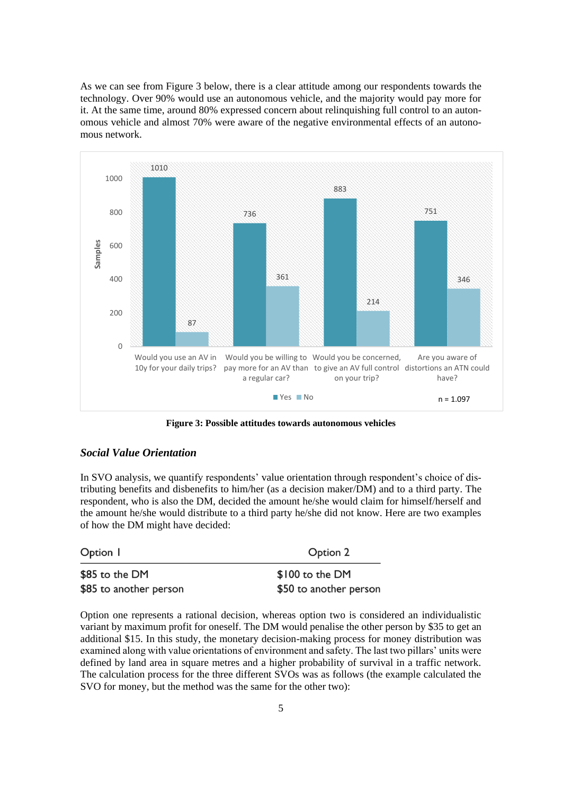As we can see from Figure 3 below, there is a clear attitude among our respondents towards the technology. Over 90% would use an autonomous vehicle, and the majority would pay more for it. At the same time, around 80% expressed concern about relinquishing full control to an autonomous vehicle and almost 70% were aware of the negative environmental effects of an autonomous network.



**Figure 3: Possible attitudes towards autonomous vehicles**

### *Social Value Orientation*

In SVO analysis, we quantify respondents' value orientation through respondent's choice of distributing benefits and disbenefits to him/her (as a decision maker/DM) and to a third party. The respondent, who is also the DM, decided the amount he/she would claim for himself/herself and the amount he/she would distribute to a third party he/she did not know. Here are two examples of how the DM might have decided:

| Option 1               | Option 2               |  |
|------------------------|------------------------|--|
| \$85 to the DM         | \$100 to the DM        |  |
| \$85 to another person | \$50 to another person |  |

Option one represents a rational decision, whereas option two is considered an individualistic variant by maximum profit for oneself. The DM would penalise the other person by \$35 to get an additional \$15. In this study, the monetary decision-making process for money distribution was examined along with value orientations of environment and safety. The last two pillars' units were defined by land area in square metres and a higher probability of survival in a traffic network. The calculation process for the three different SVOs was as follows (the example calculated the SVO for money, but the method was the same for the other two):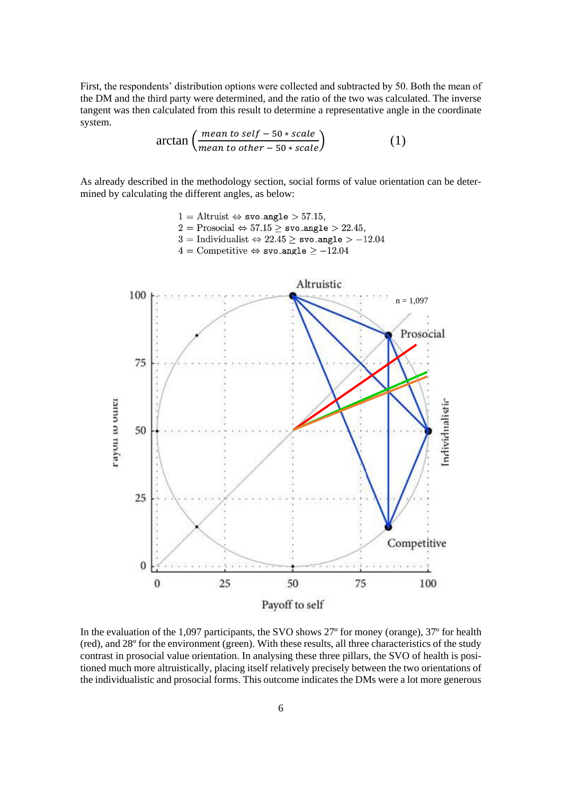First, the respondents' distribution options were collected and subtracted by 50. Both the mean of the DM and the third party were determined, and the ratio of the two was calculated. The inverse tangent was then calculated from this result to determine a representative angle in the coordinate system.

$$
\arctan\left(\frac{mean\ to\ self - 50 * scale}{mean\ to\ other - 50 * scale}\right) \tag{1}
$$

As already described in the methodology section, social forms of value orientation can be determined by calculating the different angles, as below:



In the evaluation of the 1,097 participants, the SVO shows 27º for money (orange), 37º for health (red), and 28º for the environment (green). With these results, all three characteristics of the study contrast in prosocial value orientation. In analysing these three pillars, the SVO of health is positioned much more altruistically, placing itself relatively precisely between the two orientations of the individualistic and prosocial forms. This outcome indicates the DMs were a lot more generous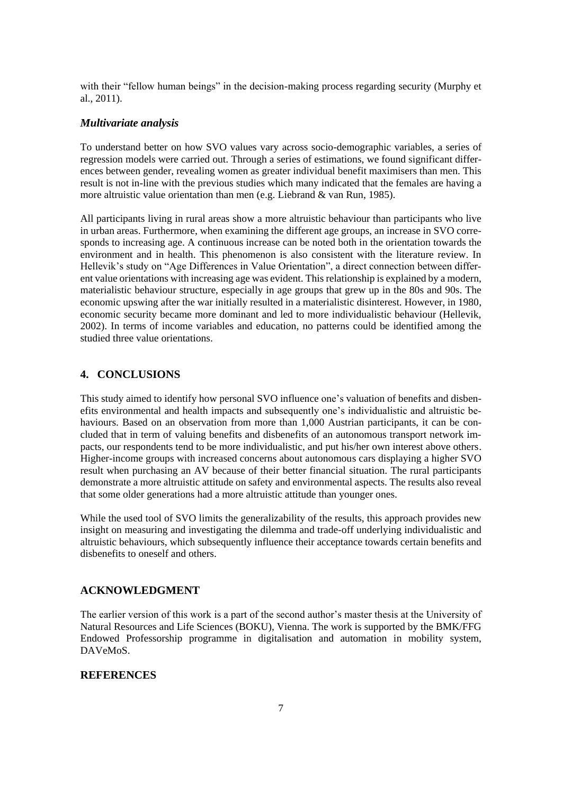with their "fellow human beings" in the decision-making process regarding security (Murphy et al., 2011).

#### *Multivariate analysis*

To understand better on how SVO values vary across socio-demographic variables, a series of regression models were carried out. Through a series of estimations, we found significant differences between gender, revealing women as greater individual benefit maximisers than men. This result is not in-line with the previous studies which many indicated that the females are having a more altruistic value orientation than men (e.g. Liebrand & van Run, 1985).

All participants living in rural areas show a more altruistic behaviour than participants who live in urban areas. Furthermore, when examining the different age groups, an increase in SVO corresponds to increasing age. A continuous increase can be noted both in the orientation towards the environment and in health. This phenomenon is also consistent with the literature review. In Hellevik's study on "Age Differences in Value Orientation", a direct connection between different value orientations with increasing age was evident. This relationship is explained by a modern, materialistic behaviour structure, especially in age groups that grew up in the 80s and 90s. The economic upswing after the war initially resulted in a materialistic disinterest. However, in 1980, economic security became more dominant and led to more individualistic behaviour (Hellevik, 2002). In terms of income variables and education, no patterns could be identified among the studied three value orientations.

## **4. CONCLUSIONS**

This study aimed to identify how personal SVO influence one's valuation of benefits and disbenefits environmental and health impacts and subsequently one's individualistic and altruistic behaviours. Based on an observation from more than 1,000 Austrian participants, it can be concluded that in term of valuing benefits and disbenefits of an autonomous transport network impacts, our respondents tend to be more individualistic, and put his/her own interest above others. Higher-income groups with increased concerns about autonomous cars displaying a higher SVO result when purchasing an AV because of their better financial situation. The rural participants demonstrate a more altruistic attitude on safety and environmental aspects. The results also reveal that some older generations had a more altruistic attitude than younger ones.

While the used tool of SVO limits the generalizability of the results, this approach provides new insight on measuring and investigating the dilemma and trade-off underlying individualistic and altruistic behaviours, which subsequently influence their acceptance towards certain benefits and disbenefits to oneself and others.

## **ACKNOWLEDGMENT**

The earlier version of this work is a part of the second author's master thesis at the University of Natural Resources and Life Sciences (BOKU), Vienna. The work is supported by the BMK/FFG Endowed Professorship programme in digitalisation and automation in mobility system, DAVeMoS.

## **REFERENCES**